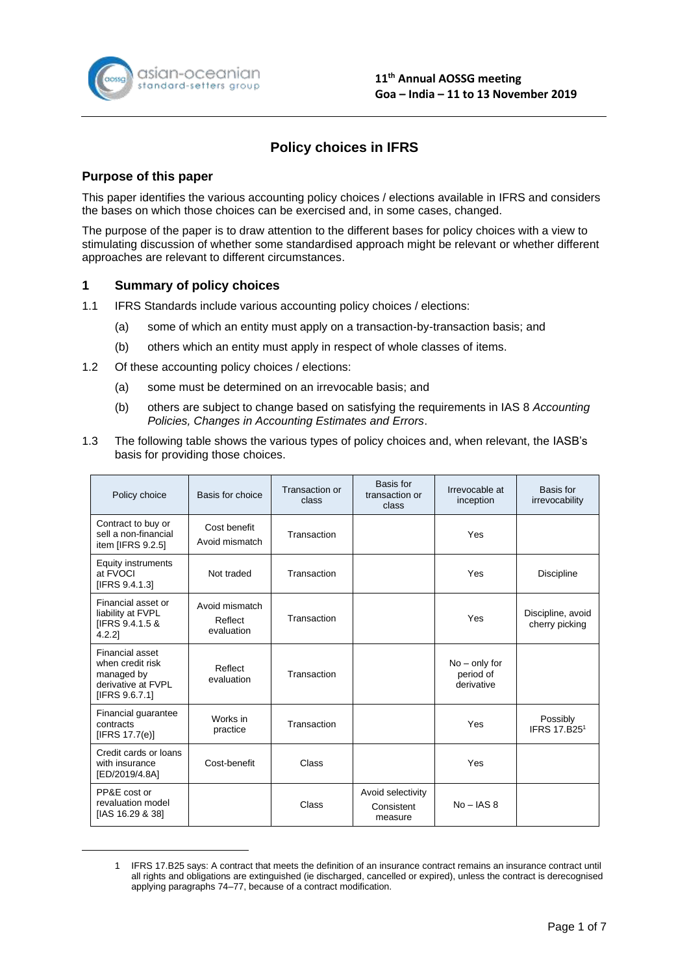

# **Policy choices in IFRS**

# **Purpose of this paper**

This paper identifies the various accounting policy choices / elections available in IFRS and considers the bases on which those choices can be exercised and, in some cases, changed.

The purpose of the paper is to draw attention to the different bases for policy choices with a view to stimulating discussion of whether some standardised approach might be relevant or whether different approaches are relevant to different circumstances.

# **1 Summary of policy choices**

- 1.1 IFRS Standards include various accounting policy choices / elections:
	- (a) some of which an entity must apply on a transaction-by-transaction basis; and
	- (b) others which an entity must apply in respect of whole classes of items.
- 1.2 Of these accounting policy choices / elections:
	- (a) some must be determined on an irrevocable basis; and
	- (b) others are subject to change based on satisfying the requirements in IAS 8 *Accounting Policies, Changes in Accounting Estimates and Errors*.
- 1.3 The following table shows the various types of policy choices and, when relevant, the IASB's basis for providing those choices.

| Policy choice                                                                             | Basis for choice                        | Transaction or<br>class | Basis for<br>transaction or<br>class       | Irrevocable at<br>inception                | Basis for<br>irrevocability          |
|-------------------------------------------------------------------------------------------|-----------------------------------------|-------------------------|--------------------------------------------|--------------------------------------------|--------------------------------------|
| Contract to buy or<br>sell a non-financial<br>item [IFRS 9.2.5]                           | Cost benefit<br>Avoid mismatch          | Transaction             |                                            | Yes                                        |                                      |
| <b>Equity instruments</b><br>at FVOCI<br>[IFRS 9.4.1.3]                                   | Not traded                              | Transaction             |                                            | Yes                                        | <b>Discipline</b>                    |
| Financial asset or<br>liability at FVPL<br>[IFRS 9.4.1.5 &<br>$4.2.2$ ]                   | Avoid mismatch<br>Reflect<br>evaluation | Transaction             |                                            | Yes                                        | Discipline, avoid<br>cherry picking  |
| Financial asset<br>when credit risk<br>managed by<br>derivative at FVPL<br>[IFRS 9.6.7.1] | Reflect<br>evaluation                   | Transaction             |                                            | $No - only for$<br>period of<br>derivative |                                      |
| Financial guarantee<br>contracts<br>[IFRS $17.7(e)$ ]                                     | Works in<br>practice                    | Transaction             |                                            | Yes                                        | Possibly<br>IFRS 17.B25 <sup>1</sup> |
| Credit cards or loans<br>with insurance<br>[ED/2019/4.8A]                                 | Cost-benefit                            | Class                   |                                            | Yes                                        |                                      |
| PP&E cost or<br>revaluation model<br>[IAS 16.29 & 38]                                     |                                         | Class                   | Avoid selectivity<br>Consistent<br>measure | $No - IAS 8$                               |                                      |

<sup>1</sup> IFRS 17.B25 says: A contract that meets the definition of an insurance contract remains an insurance contract until all rights and obligations are extinguished (ie discharged, cancelled or expired), unless the contract is derecognised applying paragraphs 74–77, because of a contract modification.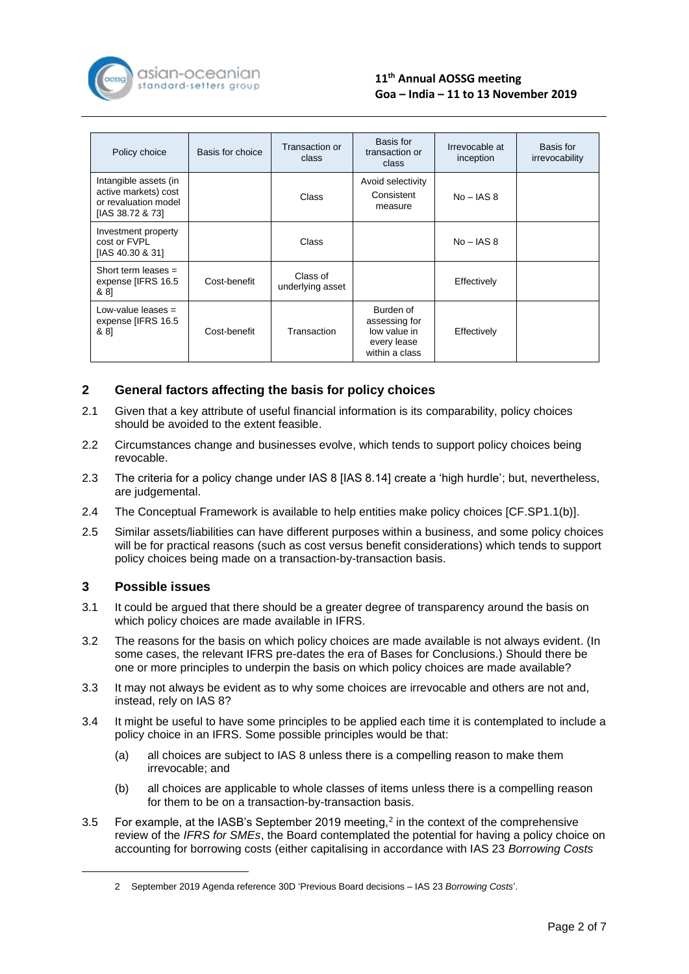

| Policy choice                                                                             | Basis for choice | Transaction or<br>class      | Basis for<br>transaction or<br>class                                        | Irrevocable at<br>inception | Basis for<br>irrevocability |
|-------------------------------------------------------------------------------------------|------------------|------------------------------|-----------------------------------------------------------------------------|-----------------------------|-----------------------------|
| Intangible assets (in<br>active markets) cost<br>or revaluation model<br>[IAS 38.72 & 73] |                  | Class                        | Avoid selectivity<br>Consistent<br>measure                                  | $No - IAS 8$                |                             |
| Investment property<br>cost or FVPI<br>[IAS 40.30 & 31]                                   |                  | Class                        |                                                                             | $No - IAS 8$                |                             |
| Short term leases $=$<br>expense [IFRS 16.5<br>& 8]                                       | Cost-benefit     | Class of<br>underlying asset |                                                                             | Effectively                 |                             |
| Low-value leases $=$<br>expense [IFRS 16.5<br>& 81                                        | Cost-benefit     | Transaction                  | Burden of<br>assessing for<br>low value in<br>every lease<br>within a class | Effectively                 |                             |

# **2 General factors affecting the basis for policy choices**

- 2.1 Given that a key attribute of useful financial information is its comparability, policy choices should be avoided to the extent feasible.
- 2.2 Circumstances change and businesses evolve, which tends to support policy choices being revocable.
- 2.3 The criteria for a policy change under IAS 8 [IAS 8.14] create a 'high hurdle'; but, nevertheless, are judgemental.
- 2.4 The Conceptual Framework is available to help entities make policy choices [CF.SP1.1(b)].
- 2.5 Similar assets/liabilities can have different purposes within a business, and some policy choices will be for practical reasons (such as cost versus benefit considerations) which tends to support policy choices being made on a transaction-by-transaction basis.

### **3 Possible issues**

- 3.1 It could be argued that there should be a greater degree of transparency around the basis on which policy choices are made available in IFRS.
- 3.2 The reasons for the basis on which policy choices are made available is not always evident. (In some cases, the relevant IFRS pre-dates the era of Bases for Conclusions.) Should there be one or more principles to underpin the basis on which policy choices are made available?
- 3.3 It may not always be evident as to why some choices are irrevocable and others are not and, instead, rely on IAS 8?
- 3.4 It might be useful to have some principles to be applied each time it is contemplated to include a policy choice in an IFRS. Some possible principles would be that:
	- (a) all choices are subject to IAS 8 unless there is a compelling reason to make them irrevocable; and
	- (b) all choices are applicable to whole classes of items unless there is a compelling reason for them to be on a transaction-by-transaction basis.
- 3.5 For example, at the IASB's September 2019 meeting,<sup>2</sup> in the context of the comprehensive review of the *IFRS for SMEs*, the Board contemplated the potential for having a policy choice on accounting for borrowing costs (either capitalising in accordance with IAS 23 *Borrowing Costs*

<sup>2</sup> September 2019 Agenda reference 30D 'Previous Board decisions – IAS 23 *Borrowing Costs*'.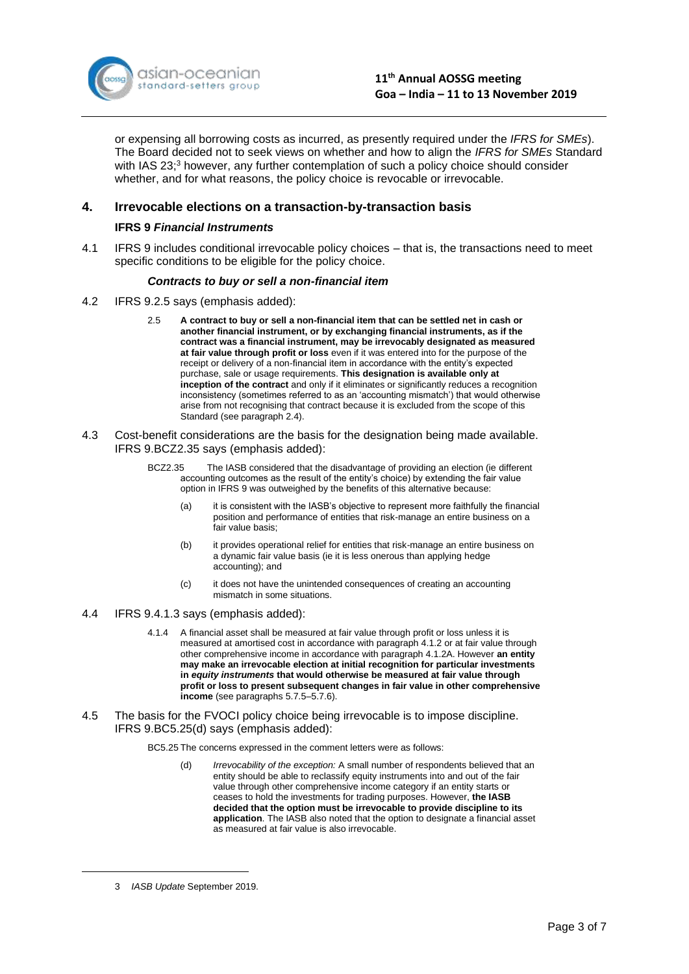

or expensing all borrowing costs as incurred, as presently required under the *IFRS for SMEs*). The Board decided not to seek views on whether and how to align the *IFRS for SMEs* Standard with IAS 23;<sup>3</sup> however, any further contemplation of such a policy choice should consider whether, and for what reasons, the policy choice is revocable or irrevocable.

# **4. Irrevocable elections on a transaction-by-transaction basis**

#### **IFRS 9** *Financial Instruments*

4.1 IFRS 9 includes conditional irrevocable policy choices – that is, the transactions need to meet specific conditions to be eligible for the policy choice.

#### *Contracts to buy or sell a non-financial item*

- 4.2 IFRS 9.2.5 says (emphasis added):
	- 2.5 **A contract to buy or sell a non-financial item that can be settled net in cash or another financial instrument, or by exchanging financial instruments, as if the contract was a financial instrument, may be irrevocably designated as measured at fair value through profit or loss** even if it was entered into for the purpose of the receipt or delivery of a non-financial item in accordance with the entity's expected purchase, sale or usage requirements. **This designation is available only at inception of the contract** and only if it eliminates or significantly reduces a recognition inconsistency (sometimes referred to as an 'accounting mismatch') that would otherwise arise from not recognising that contract because it is excluded from the scope of this Standard (see paragraph 2.4).
- 4.3 Cost-benefit considerations are the basis for the designation being made available. IFRS 9.BCZ2.35 says (emphasis added):
	- BCZ2.35 The IASB considered that the disadvantage of providing an election (ie different accounting outcomes as the result of the entity's choice) by extending the fair value option in IFRS 9 was outweighed by the benefits of this alternative because:
		- (a) it is consistent with the IASB's objective to represent more faithfully the financial position and performance of entities that risk-manage an entire business on a fair value basis;
		- (b) it provides operational relief for entities that risk-manage an entire business on a dynamic fair value basis (ie it is less onerous than applying hedge accounting); and
		- (c) it does not have the unintended consequences of creating an accounting mismatch in some situations.
- 4.4 IFRS 9.4.1.3 says (emphasis added):
	- 4.1.4 A financial asset shall be measured at fair value through profit or loss unless it is measured at amortised cost in accordance with paragraph 4.1.2 or at fair value through other comprehensive income in accordance with paragraph 4.1.2A. However **an entity may make an irrevocable election at initial recognition for particular investments in** *equity instruments* **that would otherwise be measured at fair value through profit or loss to present subsequent changes in fair value in other comprehensive income** (see paragraphs 5.7.5–5.7.6).
- 4.5 The basis for the FVOCI policy choice being irrevocable is to impose discipline. IFRS 9.BC5.25(d) says (emphasis added):

BC5.25 The concerns expressed in the comment letters were as follows:

(d) *Irrevocability of the exception:* A small number of respondents believed that an entity should be able to reclassify equity instruments into and out of the fair value through other comprehensive income category if an entity starts or ceases to hold the investments for trading purposes. However, **the IASB decided that the option must be irrevocable to provide discipline to its application**. The IASB also noted that the option to designate a financial asset as measured at fair value is also irrevocable.

<sup>3</sup> *IASB Update* September 2019.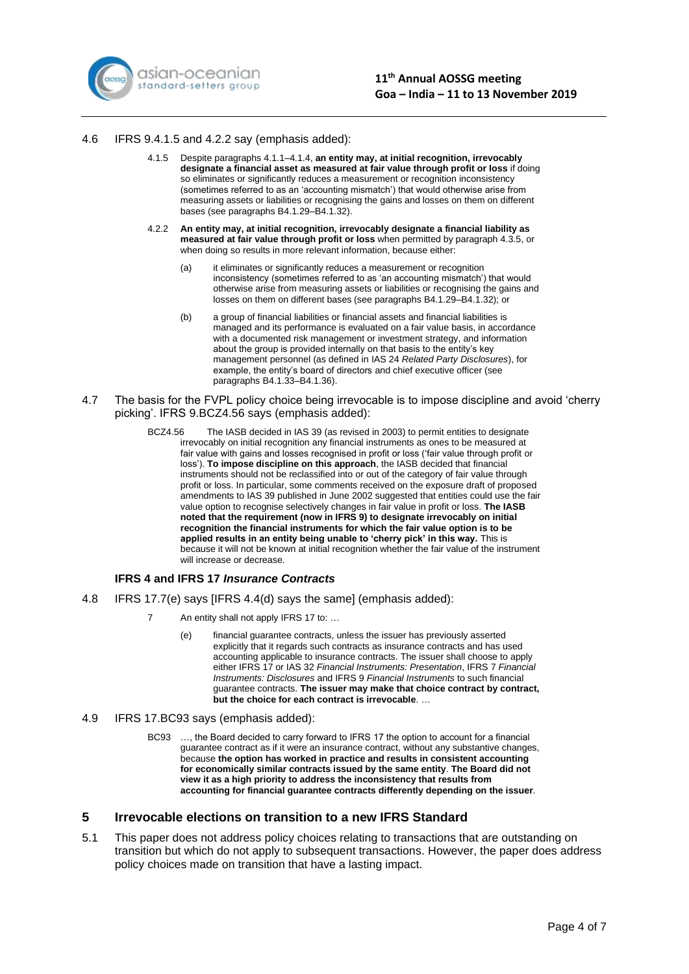

#### 4.6 IFRS 9.4.1.5 and 4.2.2 say (emphasis added):

- 4.1.5 Despite paragraphs 4.1.1–4.1.4, **an entity may, at initial recognition, irrevocably designate a financial asset as measured at fair value through profit or loss** if doing so eliminates or significantly reduces a measurement or recognition inconsistency (sometimes referred to as an 'accounting mismatch') that would otherwise arise from measuring assets or liabilities or recognising the gains and losses on them on different bases (see paragraphs B4.1.29–B4.1.32).
- 4.2.2 **An entity may, at initial recognition, irrevocably designate a financial liability as measured at fair value through profit or loss** when permitted by paragraph 4.3.5, or when doing so results in more relevant information, because either:
	- (a) it eliminates or significantly reduces a measurement or recognition inconsistency (sometimes referred to as 'an accounting mismatch') that would otherwise arise from measuring assets or liabilities or recognising the gains and losses on them on different bases (see paragraphs B4.1.29–B4.1.32); or
	- (b) a group of financial liabilities or financial assets and financial liabilities is managed and its performance is evaluated on a fair value basis, in accordance with a documented risk management or investment strategy, and information about the group is provided internally on that basis to the entity's key management personnel (as defined in IAS 24 *Related Party Disclosures*), for example, the entity's board of directors and chief executive officer (see paragraphs B4.1.33–B4.1.36).
- 4.7 The basis for the FVPL policy choice being irrevocable is to impose discipline and avoid 'cherry picking'. IFRS 9.BCZ4.56 says (emphasis added):
	- BCZ4.56 The IASB decided in IAS 39 (as revised in 2003) to permit entities to designate irrevocably on initial recognition any financial instruments as ones to be measured at fair value with gains and losses recognised in profit or loss ('fair value through profit or loss'). **To impose discipline on this approach**, the IASB decided that financial instruments should not be reclassified into or out of the category of fair value through profit or loss. In particular, some comments received on the exposure draft of proposed amendments to IAS 39 published in June 2002 suggested that entities could use the fair value option to recognise selectively changes in fair value in profit or loss. **The IASB noted that the requirement (now in IFRS 9) to designate irrevocably on initial recognition the financial instruments for which the fair value option is to be applied results in an entity being unable to 'cherry pick' in this way.** This is because it will not be known at initial recognition whether the fair value of the instrument will increase or decrease.

### **IFRS 4 and IFRS 17** *Insurance Contracts*

- 4.8 IFRS 17.7(e) says [IFRS 4.4(d) says the same] (emphasis added):
	- 7 An entity shall not apply IFRS 17 to: ...
		- (e) financial guarantee contracts, unless the issuer has previously asserted explicitly that it regards such contracts as insurance contracts and has used accounting applicable to insurance contracts. The issuer shall choose to apply either IFRS 17 or IAS 32 *Financial Instruments: Presentation*, IFRS 7 *Financial Instruments: Disclosures* and IFRS 9 *Financial Instruments* to such financial guarantee contracts. **The issuer may make that choice contract by contract, but the choice for each contract is irrevocable**. …
- 4.9 IFRS 17.BC93 says (emphasis added):
	- BC93 …, the Board decided to carry forward to IFRS 17 the option to account for a financial guarantee contract as if it were an insurance contract, without any substantive changes, because **the option has worked in practice and results in consistent accounting for economically similar contracts issued by the same entity**. **The Board did not view it as a high priority to address the inconsistency that results from accounting for financial guarantee contracts differently depending on the issuer**.

# **5 Irrevocable elections on transition to a new IFRS Standard**

5.1 This paper does not address policy choices relating to transactions that are outstanding on transition but which do not apply to subsequent transactions. However, the paper does address policy choices made on transition that have a lasting impact.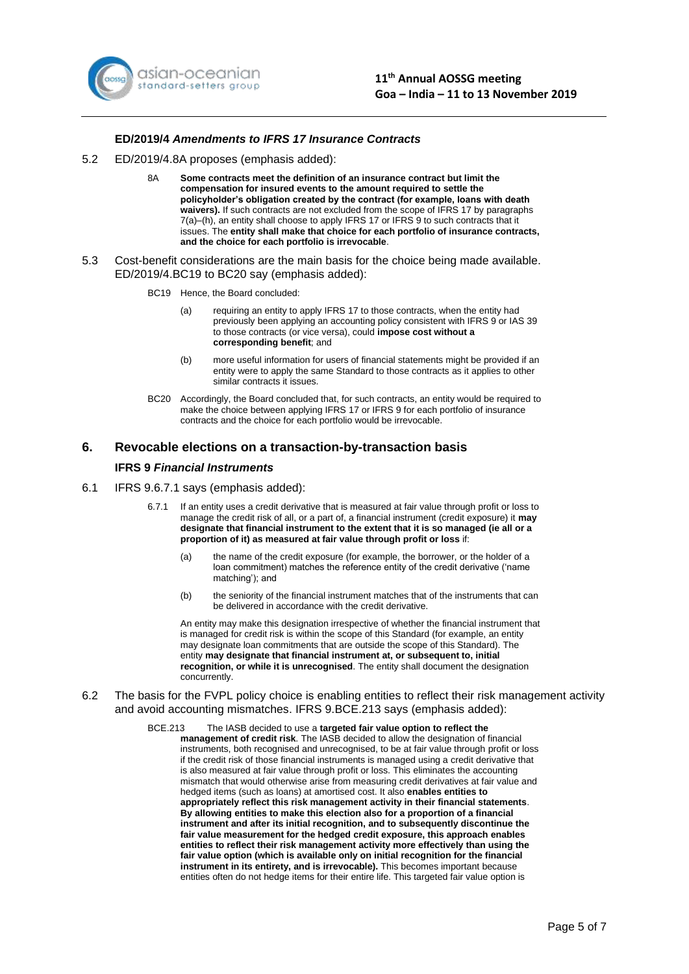

#### **ED/2019/4** *Amendments to IFRS 17 Insurance Contracts*

- 5.2 ED/2019/4.8A proposes (emphasis added):
	- 8A **Some contracts meet the definition of an insurance contract but limit the compensation for insured events to the amount required to settle the policyholder's obligation created by the contract (for example, loans with death waivers).** If such contracts are not excluded from the scope of IFRS 17 by paragraphs 7(a)–(h), an entity shall choose to apply IFRS 17 or IFRS 9 to such contracts that it issues. The **entity shall make that choice for each portfolio of insurance contracts, and the choice for each portfolio is irrevocable**.
- 5.3 Cost-benefit considerations are the main basis for the choice being made available. ED/2019/4.BC19 to BC20 say (emphasis added):
	- BC19 Hence, the Board concluded:
		- (a) requiring an entity to apply IFRS 17 to those contracts, when the entity had previously been applying an accounting policy consistent with IFRS 9 or IAS 39 to those contracts (or vice versa), could **impose cost without a corresponding benefit**; and
		- (b) more useful information for users of financial statements might be provided if an entity were to apply the same Standard to those contracts as it applies to other similar contracts it issues.
	- BC20 Accordingly, the Board concluded that, for such contracts, an entity would be required to make the choice between applying IFRS 17 or IFRS 9 for each portfolio of insurance contracts and the choice for each portfolio would be irrevocable.

#### **6. Revocable elections on a transaction-by-transaction basis**

#### **IFRS 9** *Financial Instruments*

- 6.1 IFRS 9.6.7.1 says (emphasis added):
	- 6.7.1 If an entity uses a credit derivative that is measured at fair value through profit or loss to manage the credit risk of all, or a part of, a financial instrument (credit exposure) it **may designate that financial instrument to the extent that it is so managed (ie all or a proportion of it) as measured at fair value through profit or loss** if:
		- (a) the name of the credit exposure (for example, the borrower, or the holder of a loan commitment) matches the reference entity of the credit derivative ('name matching'); and
		- (b) the seniority of the financial instrument matches that of the instruments that can be delivered in accordance with the credit derivative.

An entity may make this designation irrespective of whether the financial instrument that is managed for credit risk is within the scope of this Standard (for example, an entity may designate loan commitments that are outside the scope of this Standard). The entity **may designate that financial instrument at, or subsequent to, initial recognition, or while it is unrecognised**. The entity shall document the designation concurrently.

6.2 The basis for the FVPL policy choice is enabling entities to reflect their risk management activity and avoid accounting mismatches. IFRS 9.BCE.213 says (emphasis added):

#### BCE.213 The IASB decided to use a **targeted fair value option to reflect the**

**management of credit risk**. The IASB decided to allow the designation of financial instruments, both recognised and unrecognised, to be at fair value through profit or loss if the credit risk of those financial instruments is managed using a credit derivative that is also measured at fair value through profit or loss. This eliminates the accounting mismatch that would otherwise arise from measuring credit derivatives at fair value and hedged items (such as loans) at amortised cost. It also **enables entities to appropriately reflect this risk management activity in their financial statements**. **By allowing entities to make this election also for a proportion of a financial instrument and after its initial recognition, and to subsequently discontinue the fair value measurement for the hedged credit exposure, this approach enables entities to reflect their risk management activity more effectively than using the fair value option (which is available only on initial recognition for the financial instrument in its entirety, and is irrevocable).** This becomes important because entities often do not hedge items for their entire life. This targeted fair value option is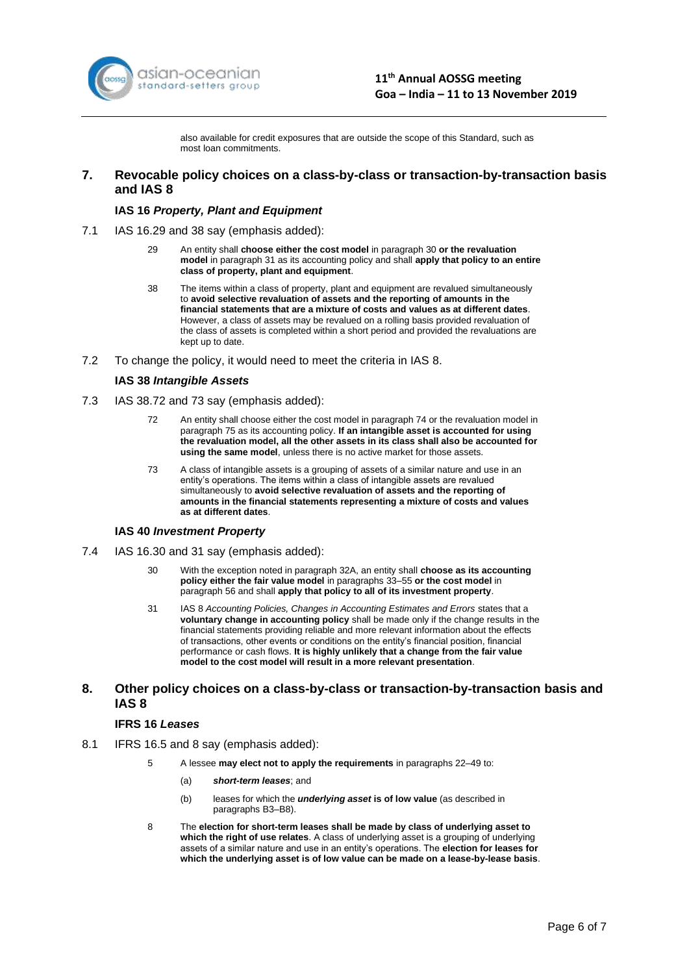

also available for credit exposures that are outside the scope of this Standard, such as most loan commitments.

### **7. Revocable policy choices on a class-by-class or transaction-by-transaction basis and IAS 8**

#### **IAS 16** *Property, Plant and Equipment*

- 7.1 IAS 16.29 and 38 say (emphasis added):
	- 29 An entity shall **choose either the cost model** in paragraph 30 **or the revaluation model** in paragraph 31 as its accounting policy and shall **apply that policy to an entire class of property, plant and equipment**.
	- 38 The items within a class of property, plant and equipment are revalued simultaneously to **avoid selective revaluation of assets and the reporting of amounts in the financial statements that are a mixture of costs and values as at different dates**. However, a class of assets may be revalued on a rolling basis provided revaluation of the class of assets is completed within a short period and provided the revaluations are kept up to date.
- 7.2 To change the policy, it would need to meet the criteria in IAS 8.

#### **IAS 38** *Intangible Assets*

- 7.3 IAS 38.72 and 73 say (emphasis added):
	- 72 An entity shall choose either the cost model in paragraph 74 or the revaluation model in paragraph 75 as its accounting policy. **If an intangible asset is accounted for using the revaluation model, all the other assets in its class shall also be accounted for using the same model**, unless there is no active market for those assets.
	- 73 A class of intangible assets is a grouping of assets of a similar nature and use in an entity's operations. The items within a class of intangible assets are revalued simultaneously to **avoid selective revaluation of assets and the reporting of amounts in the financial statements representing a mixture of costs and values as at different dates**.

#### **IAS 40** *Investment Property*

- 7.4 IAS 16.30 and 31 say (emphasis added):
	- 30 With the exception noted in paragraph 32A, an entity shall **choose as its accounting policy either the fair value model** in paragraphs 33–55 **or the cost model** in paragraph 56 and shall **apply that policy to all of its investment property**.
	- 31 IAS 8 *Accounting Policies, Changes in Accounting Estimates and Errors* states that a **voluntary change in accounting policy** shall be made only if the change results in the financial statements providing reliable and more relevant information about the effects of transactions, other events or conditions on the entity's financial position, financial performance or cash flows. **It is highly unlikely that a change from the fair value model to the cost model will result in a more relevant presentation**.

### **8. Other policy choices on a class-by-class or transaction-by-transaction basis and IAS 8**

#### **IFRS 16** *Leases*

- 8.1 IFRS 16.5 and 8 say (emphasis added):
	- 5 A lessee **may elect not to apply the requirements** in paragraphs 22–49 to:
		- (a) *short-term leases*; and
		- (b) leases for which the *underlying asset* **is of low value** (as described in paragraphs B3–B8).
	- 8 The **election for short-term leases shall be made by class of underlying asset to which the right of use relates**. A class of underlying asset is a grouping of underlying assets of a similar nature and use in an entity's operations. The **election for leases for which the underlying asset is of low value can be made on a lease-by-lease basis**.